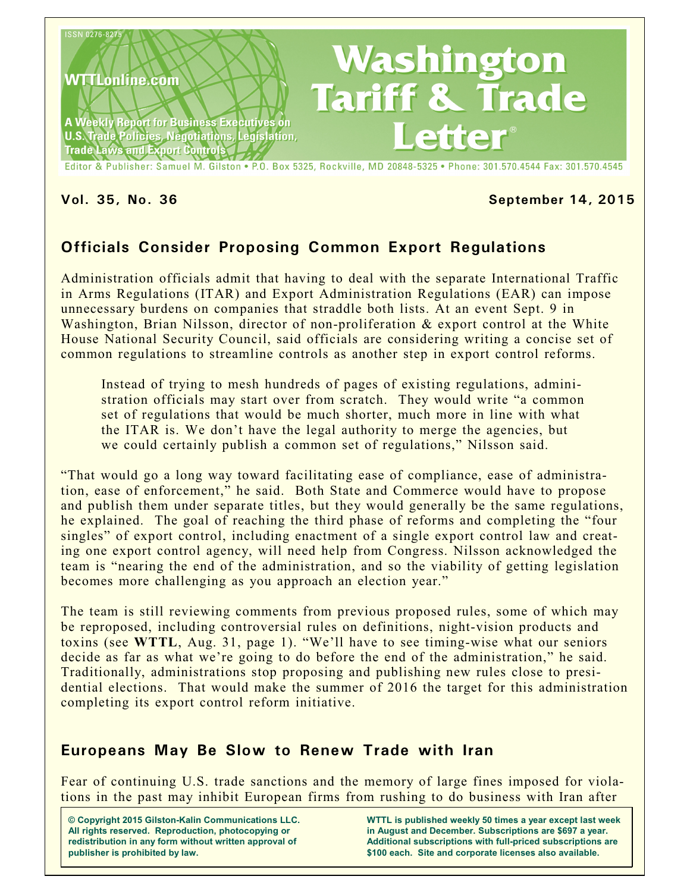

Editor & Publisher: Samuel M. Gilston . P.O. Box 5325, Rockville, MD 20848-5325 . Phone: 301.570.4544 Fax: 301.570.4545

#### **Vol. 35, No. 36 September 14, 2015**

## **Officials Consider Proposing Common Export Regulations**

Administration officials admit that having to deal with the separate International Traffic in Arms Regulations (ITAR) and Export Administration Regulations (EAR) can impose unnecessary burdens on companies that straddle both lists. At an event Sept. 9 in Washington, Brian Nilsson, director of non-proliferation & export control at the White House National Security Council, said officials are considering writing a concise set of common regulations to streamline controls as another step in export control reforms.

Instead of trying to mesh hundreds of pages of existing regulations, administration officials may start over from scratch. They would write "a common set of regulations that would be much shorter, much more in line with what the ITAR is. We don't have the legal authority to merge the agencies, but we could certainly publish a common set of regulations," Nilsson said.

"That would go a long way toward facilitating ease of compliance, ease of administration, ease of enforcement," he said. Both State and Commerce would have to propose and publish them under separate titles, but they would generally be the same regulations, he explained. The goal of reaching the third phase of reforms and completing the "four singles" of export control, including enactment of a single export control law and creating one export control agency, will need help from Congress. Nilsson acknowledged the team is "nearing the end of the administration, and so the viability of getting legislation becomes more challenging as you approach an election year."

The team is still reviewing comments from previous proposed rules, some of which may be reproposed, including controversial rules on definitions, night-vision products and toxins (see **WTTL**, Aug. 31, page 1). "We'll have to see timing-wise what our seniors decide as far as what we're going to do before the end of the administration," he said. Traditionally, administrations stop proposing and publishing new rules close to presidential elections. That would make the summer of 2016 the target for this administration completing its export control reform initiative.

## **Europeans May Be Slow to Renew Trade with Iran**

Fear of continuing U.S. trade sanctions and the memory of large fines imposed for violations in the past may inhibit European firms from rushing to do business with Iran after

**© Copyright 2015 Gilston-Kalin Communications LLC. All rights reserved. Reproduction, photocopying or redistribution in any form without written approval of publisher is prohibited by law.** 

**WTTL is published weekly 50 times a year except last week in August and December. Subscriptions are \$697 a year. Additional subscriptions with full-priced subscriptions are \$100 each. Site and corporate licenses also available.**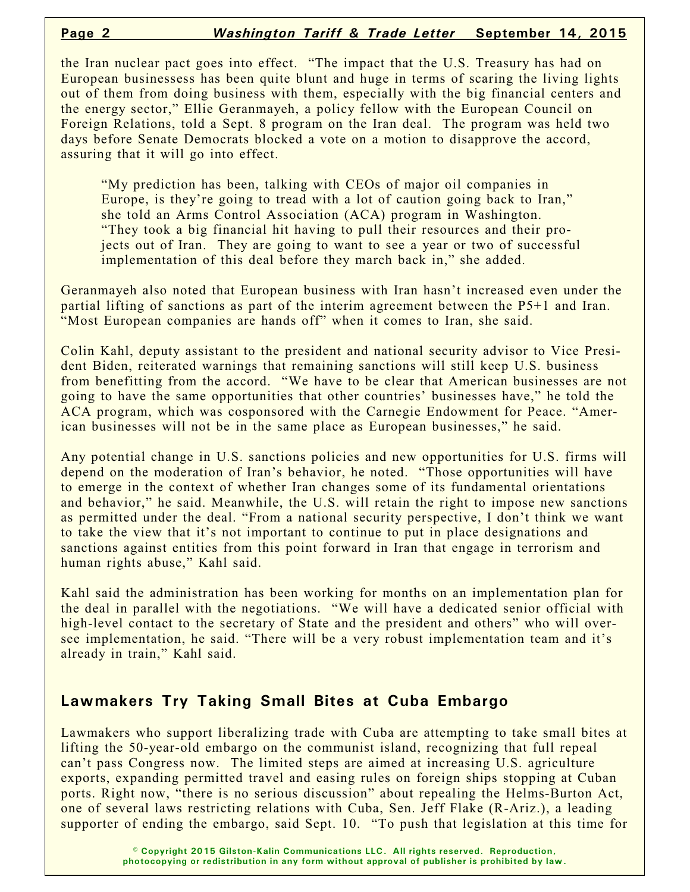the Iran nuclear pact goes into effect. "The impact that the U.S. Treasury has had on European businessess has been quite blunt and huge in terms of scaring the living lights out of them from doing business with them, especially with the big financial centers and the energy sector," Ellie Geranmayeh, a policy fellow with the European Council on Foreign Relations, told a Sept. 8 program on the Iran deal. The program was held two days before Senate Democrats blocked a vote on a motion to disapprove the accord, assuring that it will go into effect.

"My prediction has been, talking with CEOs of major oil companies in Europe, is they're going to tread with a lot of caution going back to Iran," she told an Arms Control Association (ACA) program in Washington. "They took a big financial hit having to pull their resources and their projects out of Iran. They are going to want to see a year or two of successful implementation of this deal before they march back in," she added.

Geranmayeh also noted that European business with Iran hasn't increased even under the partial lifting of sanctions as part of the interim agreement between the P5+1 and Iran. "Most European companies are hands off" when it comes to Iran, she said.

Colin Kahl, deputy assistant to the president and national security advisor to Vice President Biden, reiterated warnings that remaining sanctions will still keep U.S. business from benefitting from the accord. "We have to be clear that American businesses are not going to have the same opportunities that other countries' businesses have," he told the ACA program, which was cosponsored with the Carnegie Endowment for Peace. "American businesses will not be in the same place as European businesses," he said.

Any potential change in U.S. sanctions policies and new opportunities for U.S. firms will depend on the moderation of Iran's behavior, he noted. "Those opportunities will have to emerge in the context of whether Iran changes some of its fundamental orientations and behavior," he said. Meanwhile, the U.S. will retain the right to impose new sanctions as permitted under the deal. "From a national security perspective, I don't think we want to take the view that it's not important to continue to put in place designations and sanctions against entities from this point forward in Iran that engage in terrorism and human rights abuse," Kahl said.

Kahl said the administration has been working for months on an implementation plan for the deal in parallel with the negotiations. "We will have a dedicated senior official with high-level contact to the secretary of State and the president and others" who will oversee implementation, he said. "There will be a very robust implementation team and it's already in train," Kahl said.

## **Lawmakers Try Taking Small Bites at Cuba Embargo**

Lawmakers who support liberalizing trade with Cuba are attempting to take small bites at lifting the 50-year-old embargo on the communist island, recognizing that full repeal can't pass Congress now. The limited steps are aimed at increasing U.S. agriculture exports, expanding permitted travel and easing rules on foreign ships stopping at Cuban ports. Right now, "there is no serious discussion" about repealing the Helms-Burton Act, one of several laws restricting relations with Cuba, Sen. Jeff Flake (R-Ariz.), a leading supporter of ending the embargo, said Sept. 10. "To push that legislation at this time for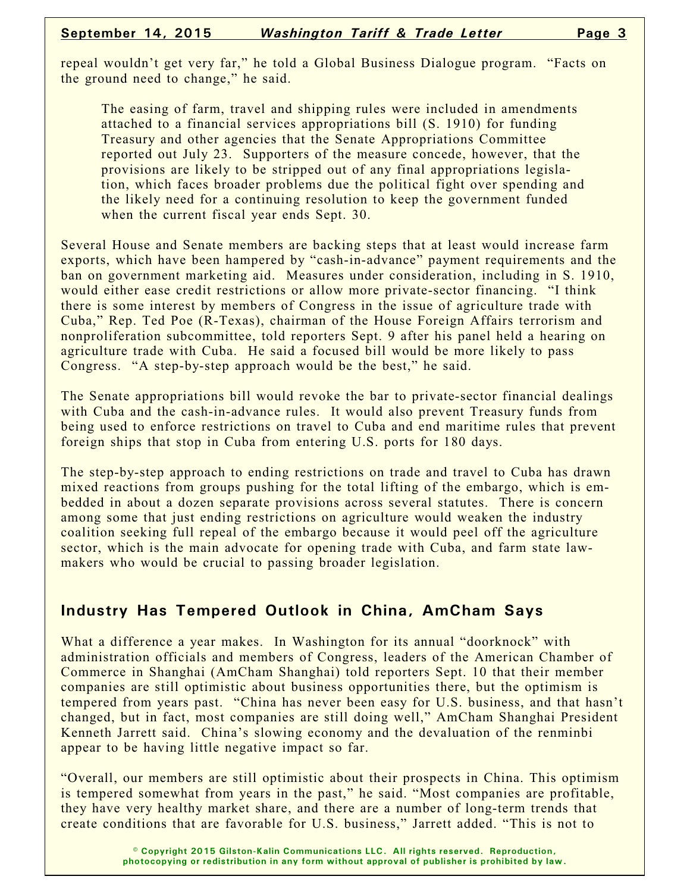repeal wouldn't get very far," he told a Global Business Dialogue program. "Facts on the ground need to change," he said.

The easing of farm, travel and shipping rules were included in amendments attached to a financial services appropriations bill (S. 1910) for funding Treasury and other agencies that the Senate Appropriations Committee reported out July 23. Supporters of the measure concede, however, that the provisions are likely to be stripped out of any final appropriations legislation, which faces broader problems due the political fight over spending and the likely need for a continuing resolution to keep the government funded when the current fiscal year ends Sept. 30.

Several House and Senate members are backing steps that at least would increase farm exports, which have been hampered by "cash-in-advance" payment requirements and the ban on government marketing aid. Measures under consideration, including in S. 1910, would either ease credit restrictions or allow more private-sector financing. "I think there is some interest by members of Congress in the issue of agriculture trade with Cuba," Rep. Ted Poe (R-Texas), chairman of the House Foreign Affairs terrorism and nonproliferation subcommittee, told reporters Sept. 9 after his panel held a hearing on agriculture trade with Cuba. He said a focused bill would be more likely to pass Congress. "A step-by-step approach would be the best," he said.

The Senate appropriations bill would revoke the bar to private-sector financial dealings with Cuba and the cash-in-advance rules. It would also prevent Treasury funds from being used to enforce restrictions on travel to Cuba and end maritime rules that prevent foreign ships that stop in Cuba from entering U.S. ports for 180 days.

The step-by-step approach to ending restrictions on trade and travel to Cuba has drawn mixed reactions from groups pushing for the total lifting of the embargo, which is embedded in about a dozen separate provisions across several statutes. There is concern among some that just ending restrictions on agriculture would weaken the industry coalition seeking full repeal of the embargo because it would peel off the agriculture sector, which is the main advocate for opening trade with Cuba, and farm state lawmakers who would be crucial to passing broader legislation.

## **Industry Has Tempered Outlook in China, AmCham Says**

What a difference a year makes. In Washington for its annual "doorknock" with administration officials and members of Congress, leaders of the American Chamber of Commerce in Shanghai (AmCham Shanghai) told reporters Sept. 10 that their member companies are still optimistic about business opportunities there, but the optimism is tempered from years past. "China has never been easy for U.S. business, and that hasn't changed, but in fact, most companies are still doing well," AmCham Shanghai President Kenneth Jarrett said. China's slowing economy and the devaluation of the renminbi appear to be having little negative impact so far.

"Overall, our members are still optimistic about their prospects in China. This optimism is tempered somewhat from years in the past," he said. "Most companies are profitable, they have very healthy market share, and there are a number of long-term trends that create conditions that are favorable for U.S. business," Jarrett added. "This is not to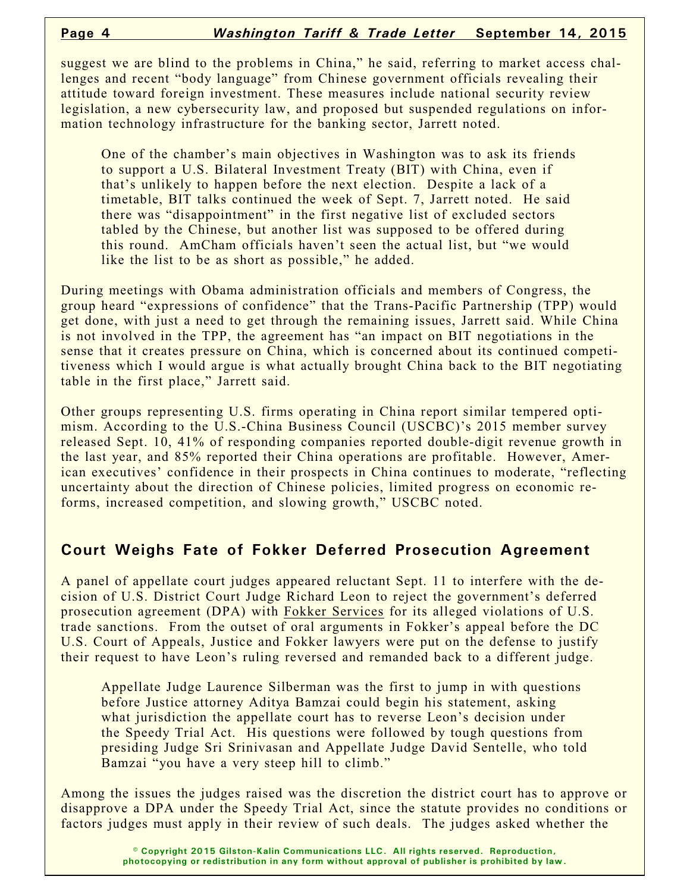suggest we are blind to the problems in China," he said, referring to market access challenges and recent "body language" from Chinese government officials revealing their attitude toward foreign investment. These measures include national security review legislation, a new cybersecurity law, and proposed but suspended regulations on information technology infrastructure for the banking sector, Jarrett noted.

One of the chamber's main objectives in Washington was to ask its friends to support a U.S. Bilateral Investment Treaty (BIT) with China, even if that's unlikely to happen before the next election. Despite a lack of a timetable, BIT talks continued the week of Sept. 7, Jarrett noted. He said there was "disappointment" in the first negative list of excluded sectors tabled by the Chinese, but another list was supposed to be offered during this round. AmCham officials haven't seen the actual list, but "we would like the list to be as short as possible," he added.

During meetings with Obama administration officials and members of Congress, the group heard "expressions of confidence" that the Trans-Pacific Partnership (TPP) would get done, with just a need to get through the remaining issues, Jarrett said. While China is not involved in the TPP, the agreement has "an impact on BIT negotiations in the sense that it creates pressure on China, which is concerned about its continued competitiveness which I would argue is what actually brought China back to the BIT negotiating table in the first place," Jarrett said.

Other groups representing U.S. firms operating in China report similar tempered optimism. According to the U.S.-China Business Council (USCBC)'s 2015 member survey released Sept. 10, 41% of responding companies reported double-digit revenue growth in the last year, and 85% reported their China operations are profitable. However, American executives' confidence in their prospects in China continues to moderate, "reflecting uncertainty about the direction of Chinese policies, limited progress on economic reforms, increased competition, and slowing growth," USCBC noted.

## **Court Weighs Fate of Fokker Deferred Prosecution Agreement**

A panel of appellate court judges appeared reluctant Sept. 11 to interfere with the decision of U.S. District Court Judge Richard Leon to reject the government's deferred prosecution agreement (DPA) with Fokker Services for its alleged violations of U.S. trade sanctions. From the outset of oral arguments in Fokker's appeal before the DC U.S. Court of Appeals, Justice and Fokker lawyers were put on the defense to justify their request to have Leon's ruling reversed and remanded back to a different judge.

Appellate Judge Laurence Silberman was the first to jump in with questions before Justice attorney Aditya Bamzai could begin his statement, asking what jurisdiction the appellate court has to reverse Leon's decision under the Speedy Trial Act. His questions were followed by tough questions from presiding Judge Sri Srinivasan and Appellate Judge David Sentelle, who told Bamzai "you have a very steep hill to climb."

Among the issues the judges raised was the discretion the district court has to approve or disapprove a DPA under the Speedy Trial Act, since the statute provides no conditions or factors judges must apply in their review of such deals. The judges asked whether the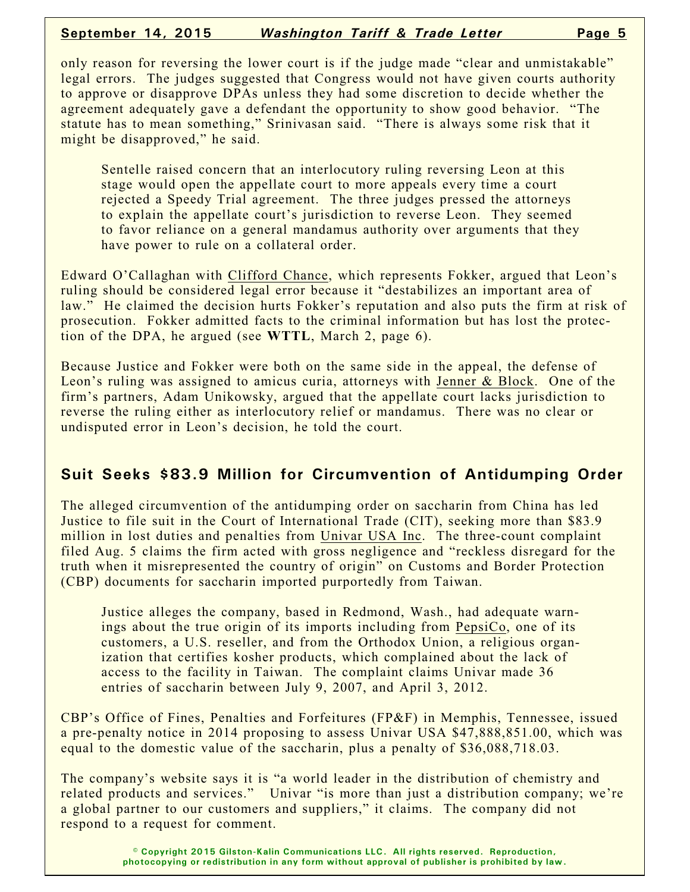#### **September 14, 2015** *Washington Tariff & Trade Letter* **Page 5**

only reason for reversing the lower court is if the judge made "clear and unmistakable" legal errors. The judges suggested that Congress would not have given courts authority to approve or disapprove DPAs unless they had some discretion to decide whether the agreement adequately gave a defendant the opportunity to show good behavior. "The statute has to mean something," Srinivasan said. "There is always some risk that it might be disapproved," he said.

Sentelle raised concern that an interlocutory ruling reversing Leon at this stage would open the appellate court to more appeals every time a court rejected a Speedy Trial agreement. The three judges pressed the attorneys to explain the appellate court's jurisdiction to reverse Leon. They seemed to favor reliance on a general mandamus authority over arguments that they have power to rule on a collateral order.

Edward O'Callaghan with Clifford Chance, which represents Fokker, argued that Leon's ruling should be considered legal error because it "destabilizes an important area of law." He claimed the decision hurts Fokker's reputation and also puts the firm at risk of prosecution. Fokker admitted facts to the criminal information but has lost the protection of the DPA, he argued (see **WTTL**, March 2, page 6).

Because Justice and Fokker were both on the same side in the appeal, the defense of Leon's ruling was assigned to amicus curia, attorneys with Jenner & Block. One of the firm's partners, Adam Unikowsky, argued that the appellate court lacks jurisdiction to reverse the ruling either as interlocutory relief or mandamus. There was no clear or undisputed error in Leon's decision, he told the court.

## **Suit Seeks \$83.9 Million for Circumvention of Antidumping Order**

The alleged circumvention of the antidumping order on saccharin from China has led Justice to file suit in the Court of International Trade (CIT), seeking more than \$83.9 million in lost duties and penalties from Univar USA Inc. The three-count complaint filed Aug. 5 claims the firm acted with gross negligence and "reckless disregard for the truth when it misrepresented the country of origin" on Customs and Border Protection (CBP) documents for saccharin imported purportedly from Taiwan.

Justice alleges the company, based in Redmond, Wash., had adequate warnings about the true origin of its imports including from PepsiCo, one of its customers, a U.S. reseller, and from the Orthodox Union, a religious organization that certifies kosher products, which complained about the lack of access to the facility in Taiwan. The complaint claims Univar made 36 entries of saccharin between July 9, 2007, and April 3, 2012.

CBP's Office of Fines, Penalties and Forfeitures (FP&F) in Memphis, Tennessee, issued a pre-penalty notice in 2014 proposing to assess Univar USA \$47,888,851.00, which was equal to the domestic value of the saccharin, plus a penalty of \$36,088,718.03.

The company's website says it is "a world leader in the distribution of chemistry and related products and services." Univar "is more than just a distribution company; we're a global partner to our customers and suppliers," it claims. The company did not respond to a request for comment.